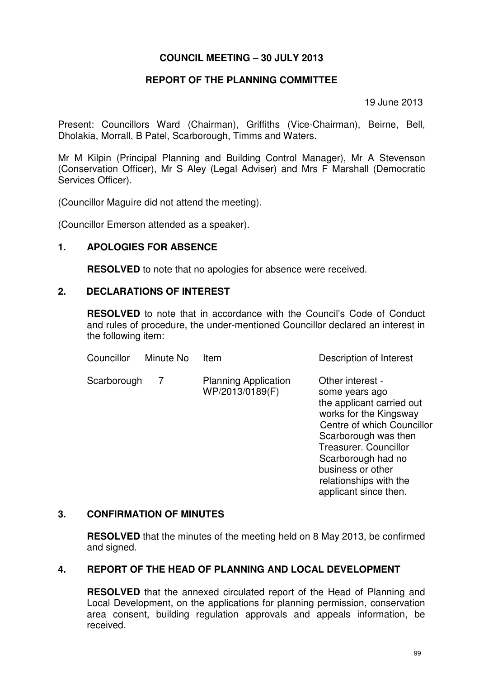### **COUNCIL MEETING – 30 JULY 2013**

### **REPORT OF THE PLANNING COMMITTEE**

19 June 2013

Present: Councillors Ward (Chairman), Griffiths (Vice-Chairman), Beirne, Bell, Dholakia, Morrall, B Patel, Scarborough, Timms and Waters.

Mr M Kilpin (Principal Planning and Building Control Manager), Mr A Stevenson (Conservation Officer), Mr S Aley (Legal Adviser) and Mrs F Marshall (Democratic Services Officer).

(Councillor Maguire did not attend the meeting).

(Councillor Emerson attended as a speaker).

### **1. APOLOGIES FOR ABSENCE**

**RESOLVED** to note that no apologies for absence were received.

### **2. DECLARATIONS OF INTEREST**

**RESOLVED** to note that in accordance with the Council's Code of Conduct and rules of procedure, the under-mentioned Councillor declared an interest in the following item:

| Councillor  | Minute No | Item                                           | Description of Interest                                                                                                                                                                                                                              |
|-------------|-----------|------------------------------------------------|------------------------------------------------------------------------------------------------------------------------------------------------------------------------------------------------------------------------------------------------------|
| Scarborough | 7         | <b>Planning Application</b><br>WP/2013/0189(F) | Other interest -<br>some years ago<br>the applicant carried out<br>works for the Kingsway<br>Centre of which Councillor<br>Scarborough was then<br><b>Treasurer. Councillor</b><br>Scarborough had no<br>business or other<br>relationships with the |

#### **3. CONFIRMATION OF MINUTES**

**RESOLVED** that the minutes of the meeting held on 8 May 2013, be confirmed and signed.

### **4. REPORT OF THE HEAD OF PLANNING AND LOCAL DEVELOPMENT**

**RESOLVED** that the annexed circulated report of the Head of Planning and Local Development, on the applications for planning permission, conservation area consent, building regulation approvals and appeals information, be received.

applicant since then.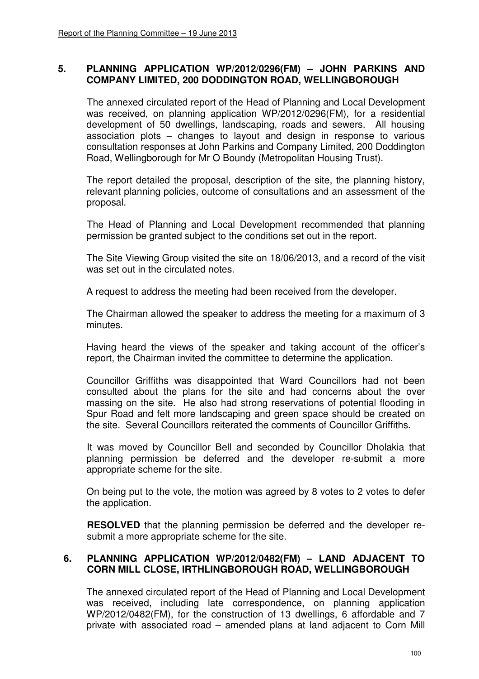### **5. PLANNING APPLICATION WP/2012/0296(FM) – JOHN PARKINS AND COMPANY LIMITED, 200 DODDINGTON ROAD, WELLINGBOROUGH**

The annexed circulated report of the Head of Planning and Local Development was received, on planning application WP/2012/0296(FM), for a residential development of 50 dwellings, landscaping, roads and sewers. All housing association plots – changes to layout and design in response to various consultation responses at John Parkins and Company Limited, 200 Doddington Road, Wellingborough for Mr O Boundy (Metropolitan Housing Trust).

The report detailed the proposal, description of the site, the planning history, relevant planning policies, outcome of consultations and an assessment of the proposal.

 The Head of Planning and Local Development recommended that planning permission be granted subject to the conditions set out in the report.

 The Site Viewing Group visited the site on 18/06/2013, and a record of the visit was set out in the circulated notes.

A request to address the meeting had been received from the developer.

 The Chairman allowed the speaker to address the meeting for a maximum of 3 minutes.

 Having heard the views of the speaker and taking account of the officer's report, the Chairman invited the committee to determine the application.

 Councillor Griffiths was disappointed that Ward Councillors had not been consulted about the plans for the site and had concerns about the over massing on the site. He also had strong reservations of potential flooding in Spur Road and felt more landscaping and green space should be created on the site. Several Councillors reiterated the comments of Councillor Griffiths.

 It was moved by Councillor Bell and seconded by Councillor Dholakia that planning permission be deferred and the developer re-submit a more appropriate scheme for the site.

 On being put to the vote, the motion was agreed by 8 votes to 2 votes to defer the application.

**RESOLVED** that the planning permission be deferred and the developer resubmit a more appropriate scheme for the site.

### **6. PLANNING APPLICATION WP/2012/0482(FM) – LAND ADJACENT TO CORN MILL CLOSE, IRTHLINGBOROUGH ROAD, WELLINGBOROUGH**

The annexed circulated report of the Head of Planning and Local Development was received, including late correspondence, on planning application WP/2012/0482(FM), for the construction of 13 dwellings, 6 affordable and 7 private with associated road – amended plans at land adjacent to Corn Mill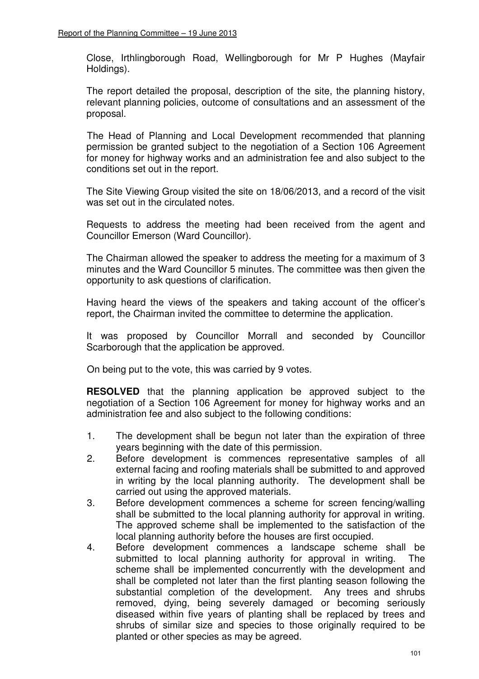Close, Irthlingborough Road, Wellingborough for Mr P Hughes (Mayfair Holdings).

 The report detailed the proposal, description of the site, the planning history, relevant planning policies, outcome of consultations and an assessment of the proposal.

 The Head of Planning and Local Development recommended that planning permission be granted subject to the negotiation of a Section 106 Agreement for money for highway works and an administration fee and also subject to the conditions set out in the report.

 The Site Viewing Group visited the site on 18/06/2013, and a record of the visit was set out in the circulated notes.

 Requests to address the meeting had been received from the agent and Councillor Emerson (Ward Councillor).

 The Chairman allowed the speaker to address the meeting for a maximum of 3 minutes and the Ward Councillor 5 minutes. The committee was then given the opportunity to ask questions of clarification.

 Having heard the views of the speakers and taking account of the officer's report, the Chairman invited the committee to determine the application.

 It was proposed by Councillor Morrall and seconded by Councillor Scarborough that the application be approved.

On being put to the vote, this was carried by 9 votes.

 **RESOLVED** that the planning application be approved subject to the negotiation of a Section 106 Agreement for money for highway works and an administration fee and also subject to the following conditions:

- 1. The development shall be begun not later than the expiration of three years beginning with the date of this permission.
- 2. Before development is commences representative samples of all external facing and roofing materials shall be submitted to and approved in writing by the local planning authority. The development shall be carried out using the approved materials.
- 3. Before development commences a scheme for screen fencing/walling shall be submitted to the local planning authority for approval in writing. The approved scheme shall be implemented to the satisfaction of the local planning authority before the houses are first occupied.
- 4. Before development commences a landscape scheme shall be submitted to local planning authority for approval in writing. The scheme shall be implemented concurrently with the development and shall be completed not later than the first planting season following the substantial completion of the development. Any trees and shrubs removed, dying, being severely damaged or becoming seriously diseased within five years of planting shall be replaced by trees and shrubs of similar size and species to those originally required to be planted or other species as may be agreed.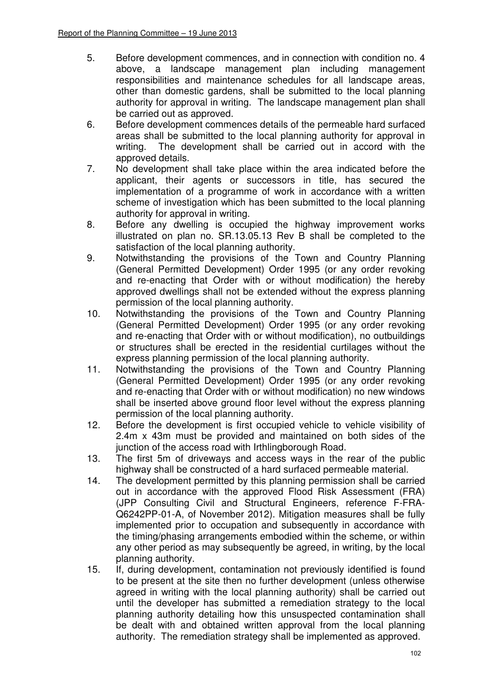- 5. Before development commences, and in connection with condition no. 4 above, a landscape management plan including management responsibilities and maintenance schedules for all landscape areas, other than domestic gardens, shall be submitted to the local planning authority for approval in writing. The landscape management plan shall be carried out as approved.
- 6. Before development commences details of the permeable hard surfaced areas shall be submitted to the local planning authority for approval in writing. The development shall be carried out in accord with the approved details.
- 7. No development shall take place within the area indicated before the applicant, their agents or successors in title, has secured the implementation of a programme of work in accordance with a written scheme of investigation which has been submitted to the local planning authority for approval in writing.
- 8. Before any dwelling is occupied the highway improvement works illustrated on plan no. SR.13.05.13 Rev B shall be completed to the satisfaction of the local planning authority.
- 9. Notwithstanding the provisions of the Town and Country Planning (General Permitted Development) Order 1995 (or any order revoking and re-enacting that Order with or without modification) the hereby approved dwellings shall not be extended without the express planning permission of the local planning authority.
- 10. Notwithstanding the provisions of the Town and Country Planning (General Permitted Development) Order 1995 (or any order revoking and re-enacting that Order with or without modification), no outbuildings or structures shall be erected in the residential curtilages without the express planning permission of the local planning authority.
- 11. Notwithstanding the provisions of the Town and Country Planning (General Permitted Development) Order 1995 (or any order revoking and re-enacting that Order with or without modification) no new windows shall be inserted above ground floor level without the express planning permission of the local planning authority.
- 12. Before the development is first occupied vehicle to vehicle visibility of 2.4m x 43m must be provided and maintained on both sides of the junction of the access road with Irthlingborough Road.
- 13. The first 5m of driveways and access ways in the rear of the public highway shall be constructed of a hard surfaced permeable material.
- 14. The development permitted by this planning permission shall be carried out in accordance with the approved Flood Risk Assessment (FRA) (JPP Consulting Civil and Structural Engineers, reference F-FRA-Q6242PP-01-A, of November 2012). Mitigation measures shall be fully implemented prior to occupation and subsequently in accordance with the timing/phasing arrangements embodied within the scheme, or within any other period as may subsequently be agreed, in writing, by the local planning authority.
- 15. If, during development, contamination not previously identified is found to be present at the site then no further development (unless otherwise agreed in writing with the local planning authority) shall be carried out until the developer has submitted a remediation strategy to the local planning authority detailing how this unsuspected contamination shall be dealt with and obtained written approval from the local planning authority. The remediation strategy shall be implemented as approved.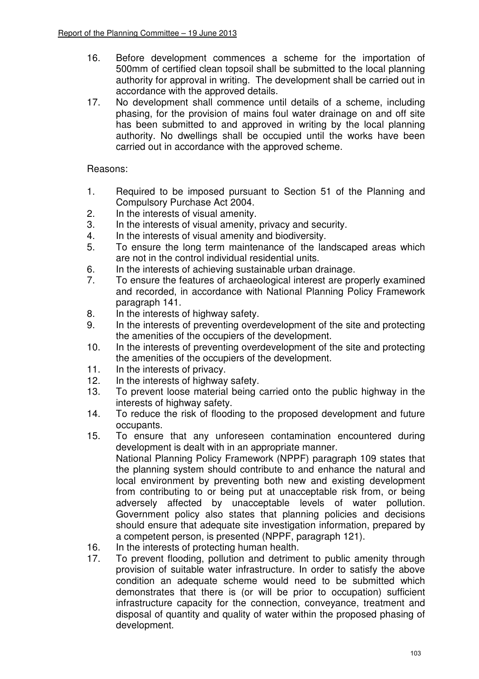- 16. Before development commences a scheme for the importation of 500mm of certified clean topsoil shall be submitted to the local planning authority for approval in writing. The development shall be carried out in accordance with the approved details.
- 17. No development shall commence until details of a scheme, including phasing, for the provision of mains foul water drainage on and off site has been submitted to and approved in writing by the local planning authority. No dwellings shall be occupied until the works have been carried out in accordance with the approved scheme.

### Reasons:

- 1. Required to be imposed pursuant to Section 51 of the Planning and Compulsory Purchase Act 2004.
- 2. In the interests of visual amenity.
- 3. In the interests of visual amenity, privacy and security.
- 4. In the interests of visual amenity and biodiversity.
- 5. To ensure the long term maintenance of the landscaped areas which are not in the control individual residential units.
- 6. In the interests of achieving sustainable urban drainage.<br>7. To ensure the features of archaeological interest are pro
- To ensure the features of archaeological interest are properly examined and recorded, in accordance with National Planning Policy Framework paragraph 141.
- 8. In the interests of highway safety.
- 9. In the interests of preventing overdevelopment of the site and protecting the amenities of the occupiers of the development.
- 10. In the interests of preventing overdevelopment of the site and protecting the amenities of the occupiers of the development.
- 11. In the interests of privacy.
- 12. In the interests of highway safety.
- 13. To prevent loose material being carried onto the public highway in the interests of highway safety.
- 14. To reduce the risk of flooding to the proposed development and future occupants.
- 15. To ensure that any unforeseen contamination encountered during development is dealt with in an appropriate manner. National Planning Policy Framework (NPPF) paragraph 109 states that the planning system should contribute to and enhance the natural and local environment by preventing both new and existing development from contributing to or being put at unacceptable risk from, or being adversely affected by unacceptable levels of water pollution. Government policy also states that planning policies and decisions should ensure that adequate site investigation information, prepared by a competent person, is presented (NPPF, paragraph 121).
- 16. In the interests of protecting human health.
- 17. To prevent flooding, pollution and detriment to public amenity through provision of suitable water infrastructure. In order to satisfy the above condition an adequate scheme would need to be submitted which demonstrates that there is (or will be prior to occupation) sufficient infrastructure capacity for the connection, conveyance, treatment and disposal of quantity and quality of water within the proposed phasing of development.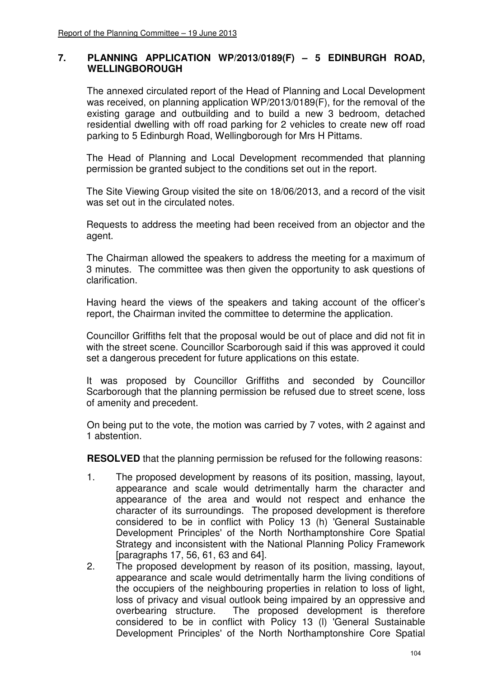### **7. PLANNING APPLICATION WP/2013/0189(F) – 5 EDINBURGH ROAD, WELLINGBOROUGH**

The annexed circulated report of the Head of Planning and Local Development was received, on planning application WP/2013/0189(F), for the removal of the existing garage and outbuilding and to build a new 3 bedroom, detached residential dwelling with off road parking for 2 vehicles to create new off road parking to 5 Edinburgh Road, Wellingborough for Mrs H Pittams.

 The Head of Planning and Local Development recommended that planning permission be granted subject to the conditions set out in the report.

 The Site Viewing Group visited the site on 18/06/2013, and a record of the visit was set out in the circulated notes.

 Requests to address the meeting had been received from an objector and the agent.

 The Chairman allowed the speakers to address the meeting for a maximum of 3 minutes. The committee was then given the opportunity to ask questions of clarification.

 Having heard the views of the speakers and taking account of the officer's report, the Chairman invited the committee to determine the application.

 Councillor Griffiths felt that the proposal would be out of place and did not fit in with the street scene. Councillor Scarborough said if this was approved it could set a dangerous precedent for future applications on this estate.

 It was proposed by Councillor Griffiths and seconded by Councillor Scarborough that the planning permission be refused due to street scene, loss of amenity and precedent.

 On being put to the vote, the motion was carried by 7 votes, with 2 against and 1 abstention.

**RESOLVED** that the planning permission be refused for the following reasons:

- 1. The proposed development by reasons of its position, massing, layout, appearance and scale would detrimentally harm the character and appearance of the area and would not respect and enhance the character of its surroundings. The proposed development is therefore considered to be in conflict with Policy 13 (h) 'General Sustainable Development Principles' of the North Northamptonshire Core Spatial Strategy and inconsistent with the National Planning Policy Framework [paragraphs 17, 56, 61, 63 and 64].
- 2. The proposed development by reason of its position, massing, layout, appearance and scale would detrimentally harm the living conditions of the occupiers of the neighbouring properties in relation to loss of light, loss of privacy and visual outlook being impaired by an oppressive and overbearing structure. The proposed development is therefore considered to be in conflict with Policy 13 (l) 'General Sustainable Development Principles' of the North Northamptonshire Core Spatial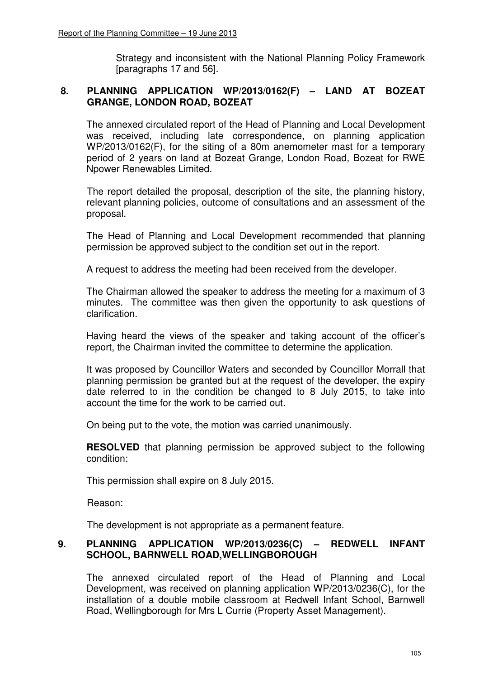Strategy and inconsistent with the National Planning Policy Framework [paragraphs 17 and 56].

## **8. PLANNING APPLICATION WP/2013/0162(F) – LAND AT BOZEAT GRANGE, LONDON ROAD, BOZEAT**

The annexed circulated report of the Head of Planning and Local Development was received, including late correspondence, on planning application WP/2013/0162(F), for the siting of a 80m anemometer mast for a temporary period of 2 years on land at Bozeat Grange, London Road, Bozeat for RWE Npower Renewables Limited.

 The report detailed the proposal, description of the site, the planning history, relevant planning policies, outcome of consultations and an assessment of the proposal.

 The Head of Planning and Local Development recommended that planning permission be approved subject to the condition set out in the report.

A request to address the meeting had been received from the developer.

 The Chairman allowed the speaker to address the meeting for a maximum of 3 minutes. The committee was then given the opportunity to ask questions of clarification.

 Having heard the views of the speaker and taking account of the officer's report, the Chairman invited the committee to determine the application.

 It was proposed by Councillor Waters and seconded by Councillor Morrall that planning permission be granted but at the request of the developer, the expiry date referred to in the condition be changed to 8 July 2015, to take into account the time for the work to be carried out.

On being put to the vote, the motion was carried unanimously.

**RESOLVED** that planning permission be approved subject to the following condition:

This permission shall expire on 8 July 2015.

Reason:

The development is not appropriate as a permanent feature.

### **9. PLANNING APPLICATION WP/2013/0236(C) – REDWELL INFANT SCHOOL, BARNWELL ROAD,WELLINGBOROUGH**

The annexed circulated report of the Head of Planning and Local Development, was received on planning application WP/2013/0236(C), for the installation of a double mobile classroom at Redwell Infant School, Barnwell Road, Wellingborough for Mrs L Currie (Property Asset Management).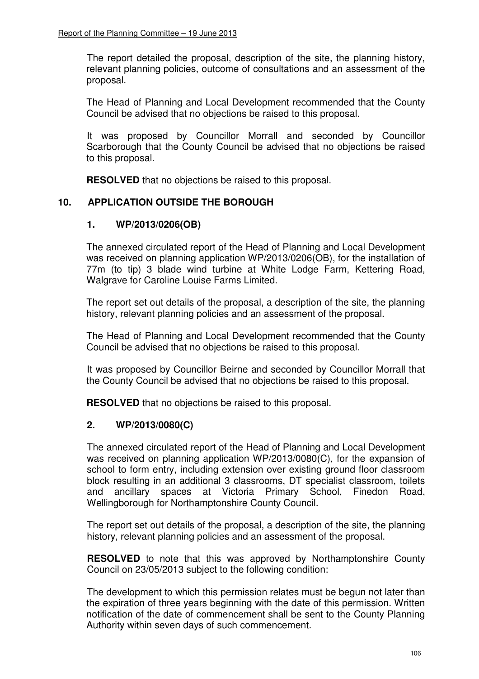The report detailed the proposal, description of the site, the planning history, relevant planning policies, outcome of consultations and an assessment of the proposal.

 The Head of Planning and Local Development recommended that the County Council be advised that no objections be raised to this proposal.

 It was proposed by Councillor Morrall and seconded by Councillor Scarborough that the County Council be advised that no objections be raised to this proposal.

**RESOLVED** that no objections be raised to this proposal.

## **10. APPLICATION OUTSIDE THE BOROUGH**

## **1. WP/2013/0206(OB)**

The annexed circulated report of the Head of Planning and Local Development was received on planning application WP/2013/0206(OB), for the installation of 77m (to tip) 3 blade wind turbine at White Lodge Farm, Kettering Road, Walgrave for Caroline Louise Farms Limited.

 The report set out details of the proposal, a description of the site, the planning history, relevant planning policies and an assessment of the proposal.

 The Head of Planning and Local Development recommended that the County Council be advised that no objections be raised to this proposal.

 It was proposed by Councillor Beirne and seconded by Councillor Morrall that the County Council be advised that no objections be raised to this proposal.

**RESOLVED** that no objections be raised to this proposal.

## **2. WP/2013/0080(C)**

The annexed circulated report of the Head of Planning and Local Development was received on planning application WP/2013/0080(C), for the expansion of school to form entry, including extension over existing ground floor classroom block resulting in an additional 3 classrooms, DT specialist classroom, toilets and ancillary spaces at Victoria Primary School, Finedon Road, Wellingborough for Northamptonshire County Council.

The report set out details of the proposal, a description of the site, the planning history, relevant planning policies and an assessment of the proposal.

**RESOLVED** to note that this was approved by Northamptonshire County Council on 23/05/2013 subject to the following condition:

The development to which this permission relates must be begun not later than the expiration of three years beginning with the date of this permission. Written notification of the date of commencement shall be sent to the County Planning Authority within seven days of such commencement.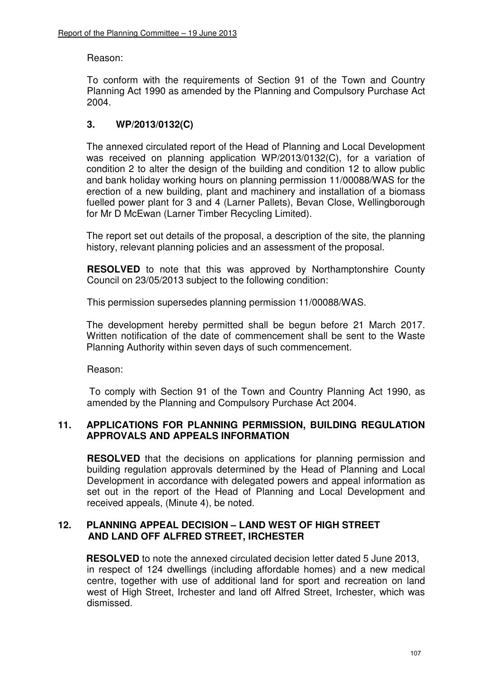### Reason:

To conform with the requirements of Section 91 of the Town and Country Planning Act 1990 as amended by the Planning and Compulsory Purchase Act 2004.

# **3. WP/2013/0132(C)**

The annexed circulated report of the Head of Planning and Local Development was received on planning application WP/2013/0132(C), for a variation of condition 2 to alter the design of the building and condition 12 to allow public and bank holiday working hours on planning permission 11/00088/WAS for the erection of a new building, plant and machinery and installation of a biomass fuelled power plant for 3 and 4 (Larner Pallets), Bevan Close, Wellingborough for Mr D McEwan (Larner Timber Recycling Limited).

 The report set out details of the proposal, a description of the site, the planning history, relevant planning policies and an assessment of the proposal.

**RESOLVED** to note that this was approved by Northamptonshire County Council on 23/05/2013 subject to the following condition:

This permission supersedes planning permission 11/00088/WAS.

The development hereby permitted shall be begun before 21 March 2017. Written notification of the date of commencement shall be sent to the Waste Planning Authority within seven days of such commencement.

Reason:

To comply with Section 91 of the Town and Country Planning Act 1990, as amended by the Planning and Compulsory Purchase Act 2004.

### **11. APPLICATIONS FOR PLANNING PERMISSION, BUILDING REGULATION APPROVALS AND APPEALS INFORMATION**

**RESOLVED** that the decisions on applications for planning permission and building regulation approvals determined by the Head of Planning and Local Development in accordance with delegated powers and appeal information as set out in the report of the Head of Planning and Local Development and received appeals, (Minute 4), be noted.

### **12. PLANNING APPEAL DECISION – LAND WEST OF HIGH STREET AND LAND OFF ALFRED STREET, IRCHESTER**

**RESOLVED** to note the annexed circulated decision letter dated 5 June 2013, in respect of 124 dwellings (including affordable homes) and a new medical centre, together with use of additional land for sport and recreation on land west of High Street, Irchester and land off Alfred Street, Irchester, which was dismissed.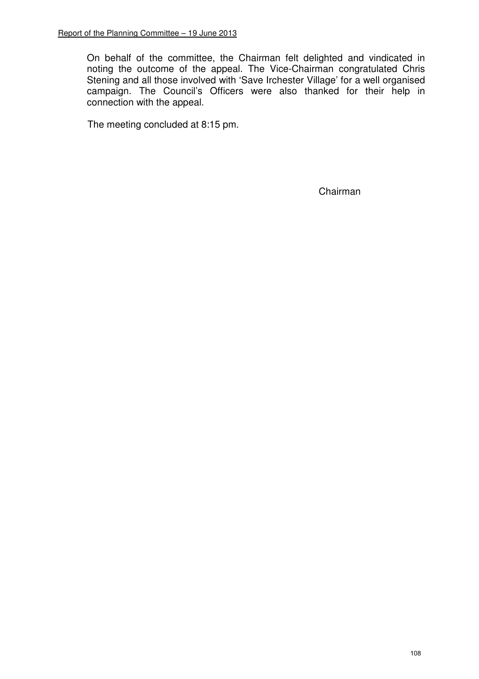On behalf of the committee, the Chairman felt delighted and vindicated in noting the outcome of the appeal. The Vice-Chairman congratulated Chris Stening and all those involved with 'Save Irchester Village' for a well organised campaign. The Council's Officers were also thanked for their help in connection with the appeal.

The meeting concluded at 8:15 pm.

Chairman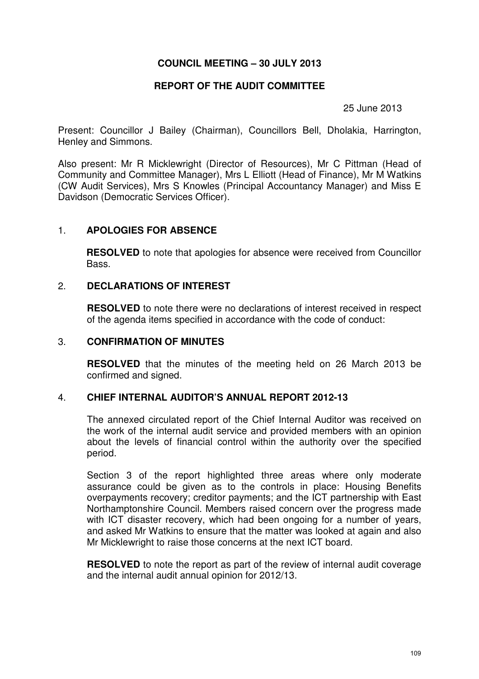### **COUNCIL MEETING – 30 JULY 2013**

#### **REPORT OF THE AUDIT COMMITTEE**

25 June 2013

Present: Councillor J Bailey (Chairman), Councillors Bell, Dholakia, Harrington, Henley and Simmons.

Also present: Mr R Micklewright (Director of Resources), Mr C Pittman (Head of Community and Committee Manager), Mrs L Elliott (Head of Finance), Mr M Watkins (CW Audit Services), Mrs S Knowles (Principal Accountancy Manager) and Miss E Davidson (Democratic Services Officer).

### 1. **APOLOGIES FOR ABSENCE**

**RESOLVED** to note that apologies for absence were received from Councillor Bass.

### 2. **DECLARATIONS OF INTEREST**

**RESOLVED** to note there were no declarations of interest received in respect of the agenda items specified in accordance with the code of conduct:

### 3. **CONFIRMATION OF MINUTES**

 **RESOLVED** that the minutes of the meeting held on 26 March 2013 be confirmed and signed.

### 4. **CHIEF INTERNAL AUDITOR'S ANNUAL REPORT 2012-13**

The annexed circulated report of the Chief Internal Auditor was received on the work of the internal audit service and provided members with an opinion about the levels of financial control within the authority over the specified period.

Section 3 of the report highlighted three areas where only moderate assurance could be given as to the controls in place: Housing Benefits overpayments recovery; creditor payments; and the ICT partnership with East Northamptonshire Council. Members raised concern over the progress made with ICT disaster recovery, which had been ongoing for a number of vears, and asked Mr Watkins to ensure that the matter was looked at again and also Mr Micklewright to raise those concerns at the next ICT board.

**RESOLVED** to note the report as part of the review of internal audit coverage and the internal audit annual opinion for 2012/13.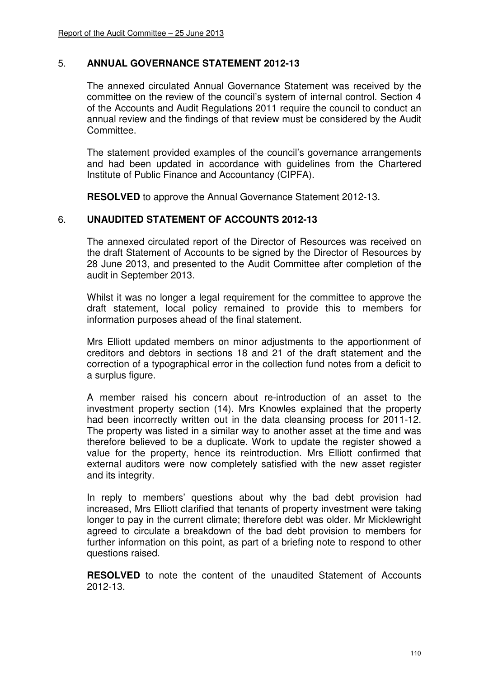### 5. **ANNUAL GOVERNANCE STATEMENT 2012-13**

The annexed circulated Annual Governance Statement was received by the committee on the review of the council's system of internal control. Section 4 of the Accounts and Audit Regulations 2011 require the council to conduct an annual review and the findings of that review must be considered by the Audit Committee.

The statement provided examples of the council's governance arrangements and had been updated in accordance with guidelines from the Chartered Institute of Public Finance and Accountancy (CIPFA).

**RESOLVED** to approve the Annual Governance Statement 2012-13.

### 6. **UNAUDITED STATEMENT OF ACCOUNTS 2012-13**

The annexed circulated report of the Director of Resources was received on the draft Statement of Accounts to be signed by the Director of Resources by 28 June 2013, and presented to the Audit Committee after completion of the audit in September 2013.

Whilst it was no longer a legal requirement for the committee to approve the draft statement, local policy remained to provide this to members for information purposes ahead of the final statement.

Mrs Elliott updated members on minor adjustments to the apportionment of creditors and debtors in sections 18 and 21 of the draft statement and the correction of a typographical error in the collection fund notes from a deficit to a surplus figure.

A member raised his concern about re-introduction of an asset to the investment property section (14). Mrs Knowles explained that the property had been incorrectly written out in the data cleansing process for 2011-12. The property was listed in a similar way to another asset at the time and was therefore believed to be a duplicate. Work to update the register showed a value for the property, hence its reintroduction. Mrs Elliott confirmed that external auditors were now completely satisfied with the new asset register and its integrity.

In reply to members' questions about why the bad debt provision had increased, Mrs Elliott clarified that tenants of property investment were taking longer to pay in the current climate; therefore debt was older. Mr Micklewright agreed to circulate a breakdown of the bad debt provision to members for further information on this point, as part of a briefing note to respond to other questions raised.

**RESOLVED** to note the content of the unaudited Statement of Accounts 2012-13.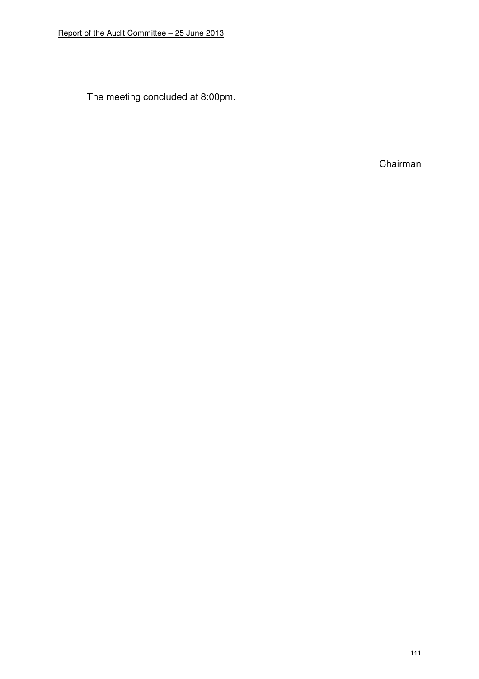The meeting concluded at 8:00pm.

Chairman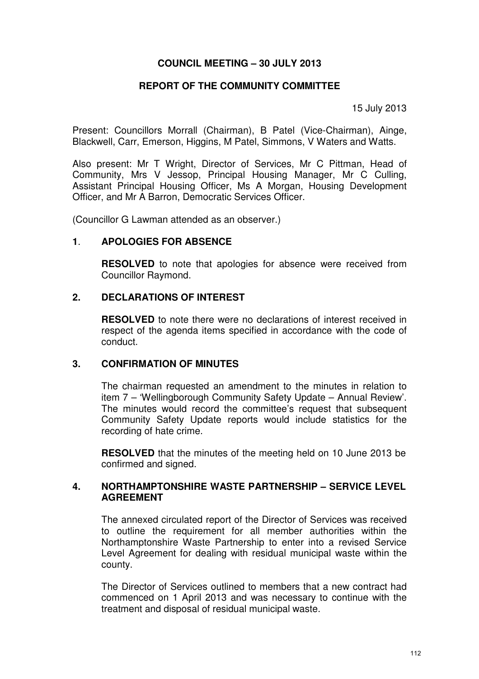### **COUNCIL MEETING – 30 JULY 2013**

#### **REPORT OF THE COMMUNITY COMMITTEE**

15 July 2013

Present: Councillors Morrall (Chairman), B Patel (Vice-Chairman), Ainge, Blackwell, Carr, Emerson, Higgins, M Patel, Simmons, V Waters and Watts.

Also present: Mr T Wright, Director of Services, Mr C Pittman, Head of Community, Mrs V Jessop, Principal Housing Manager, Mr C Culling, Assistant Principal Housing Officer, Ms A Morgan, Housing Development Officer, and Mr A Barron, Democratic Services Officer.

(Councillor G Lawman attended as an observer.)

### **1**. **APOLOGIES FOR ABSENCE**

**RESOLVED** to note that apologies for absence were received from Councillor Raymond.

### **2. DECLARATIONS OF INTEREST**

**RESOLVED** to note there were no declarations of interest received in respect of the agenda items specified in accordance with the code of conduct.

### **3. CONFIRMATION OF MINUTES**

The chairman requested an amendment to the minutes in relation to item 7 – 'Wellingborough Community Safety Update – Annual Review'. The minutes would record the committee's request that subsequent Community Safety Update reports would include statistics for the recording of hate crime.

**RESOLVED** that the minutes of the meeting held on 10 June 2013 be confirmed and signed.

### **4. NORTHAMPTONSHIRE WASTE PARTNERSHIP – SERVICE LEVEL AGREEMENT**

The annexed circulated report of the Director of Services was received to outline the requirement for all member authorities within the Northamptonshire Waste Partnership to enter into a revised Service Level Agreement for dealing with residual municipal waste within the county.

The Director of Services outlined to members that a new contract had commenced on 1 April 2013 and was necessary to continue with the treatment and disposal of residual municipal waste.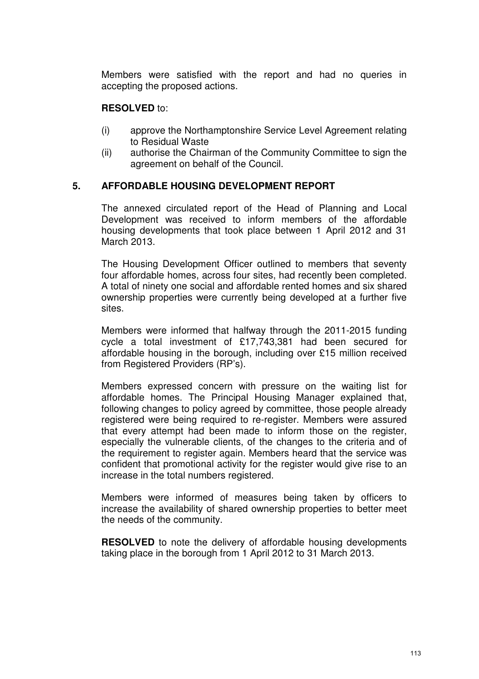Members were satisfied with the report and had no queries in accepting the proposed actions.

## **RESOLVED** to:

- (i) approve the Northamptonshire Service Level Agreement relating to Residual Waste
- (ii) authorise the Chairman of the Community Committee to sign the agreement on behalf of the Council.

### **5. AFFORDABLE HOUSING DEVELOPMENT REPORT**

The annexed circulated report of the Head of Planning and Local Development was received to inform members of the affordable housing developments that took place between 1 April 2012 and 31 March 2013.

 The Housing Development Officer outlined to members that seventy four affordable homes, across four sites, had recently been completed. A total of ninety one social and affordable rented homes and six shared ownership properties were currently being developed at a further five sites.

Members were informed that halfway through the 2011-2015 funding cycle a total investment of £17,743,381 had been secured for affordable housing in the borough, including over £15 million received from Registered Providers (RP's).

Members expressed concern with pressure on the waiting list for affordable homes. The Principal Housing Manager explained that, following changes to policy agreed by committee, those people already registered were being required to re-register. Members were assured that every attempt had been made to inform those on the register, especially the vulnerable clients, of the changes to the criteria and of the requirement to register again. Members heard that the service was confident that promotional activity for the register would give rise to an increase in the total numbers registered.

Members were informed of measures being taken by officers to increase the availability of shared ownership properties to better meet the needs of the community.

**RESOLVED** to note the delivery of affordable housing developments taking place in the borough from 1 April 2012 to 31 March 2013.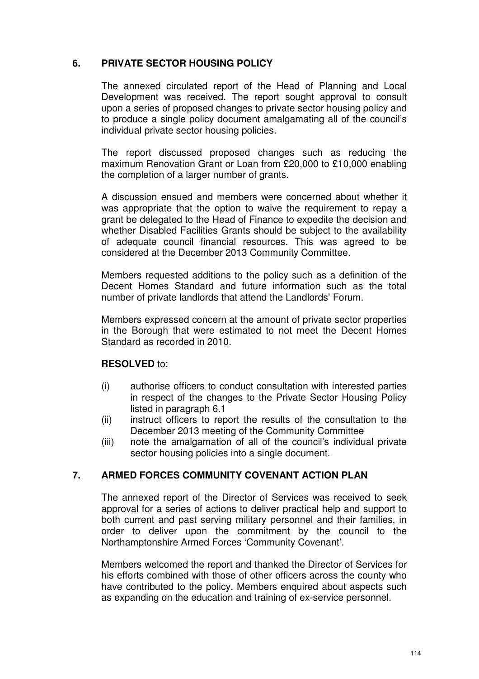## **6. PRIVATE SECTOR HOUSING POLICY**

The annexed circulated report of the Head of Planning and Local Development was received. The report sought approval to consult upon a series of proposed changes to private sector housing policy and to produce a single policy document amalgamating all of the council's individual private sector housing policies.

The report discussed proposed changes such as reducing the maximum Renovation Grant or Loan from £20,000 to £10,000 enabling the completion of a larger number of grants.

A discussion ensued and members were concerned about whether it was appropriate that the option to waive the requirement to repay a grant be delegated to the Head of Finance to expedite the decision and whether Disabled Facilities Grants should be subject to the availability of adequate council financial resources. This was agreed to be considered at the December 2013 Community Committee.

Members requested additions to the policy such as a definition of the Decent Homes Standard and future information such as the total number of private landlords that attend the Landlords' Forum.

Members expressed concern at the amount of private sector properties in the Borough that were estimated to not meet the Decent Homes Standard as recorded in 2010.

### **RESOLVED** to:

- (i) authorise officers to conduct consultation with interested parties in respect of the changes to the Private Sector Housing Policy listed in paragraph 6.1
- (ii) instruct officers to report the results of the consultation to the December 2013 meeting of the Community Committee
- (iii) note the amalgamation of all of the council's individual private sector housing policies into a single document.

## **7. ARMED FORCES COMMUNITY COVENANT ACTION PLAN**

The annexed report of the Director of Services was received to seek approval for a series of actions to deliver practical help and support to both current and past serving military personnel and their families, in order to deliver upon the commitment by the council to the Northamptonshire Armed Forces 'Community Covenant'.

 Members welcomed the report and thanked the Director of Services for his efforts combined with those of other officers across the county who have contributed to the policy. Members enquired about aspects such as expanding on the education and training of ex-service personnel.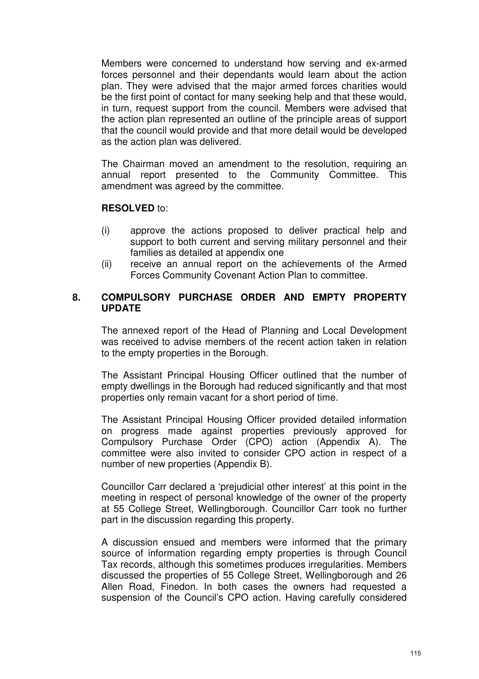Members were concerned to understand how serving and ex-armed forces personnel and their dependants would learn about the action plan. They were advised that the major armed forces charities would be the first point of contact for many seeking help and that these would, in turn, request support from the council. Members were advised that the action plan represented an outline of the principle areas of support that the council would provide and that more detail would be developed as the action plan was delivered.

 The Chairman moved an amendment to the resolution, requiring an annual report presented to the Community Committee. This amendment was agreed by the committee.

### **RESOLVED** to:

- (i) approve the actions proposed to deliver practical help and support to both current and serving military personnel and their families as detailed at appendix one
- (ii) receive an annual report on the achievements of the Armed Forces Community Covenant Action Plan to committee.

## **8. COMPULSORY PURCHASE ORDER AND EMPTY PROPERTY UPDATE**

The annexed report of the Head of Planning and Local Development was received to advise members of the recent action taken in relation to the empty properties in the Borough.

The Assistant Principal Housing Officer outlined that the number of empty dwellings in the Borough had reduced significantly and that most properties only remain vacant for a short period of time.

The Assistant Principal Housing Officer provided detailed information on progress made against properties previously approved for Compulsory Purchase Order (CPO) action (Appendix A). The committee were also invited to consider CPO action in respect of a number of new properties (Appendix B).

Councillor Carr declared a 'prejudicial other interest' at this point in the meeting in respect of personal knowledge of the owner of the property at 55 College Street, Wellingborough. Councillor Carr took no further part in the discussion regarding this property.

A discussion ensued and members were informed that the primary source of information regarding empty properties is through Council Tax records, although this sometimes produces irregularities. Members discussed the properties of 55 College Street, Wellingborough and 26 Allen Road, Finedon. In both cases the owners had requested a suspension of the Council's CPO action. Having carefully considered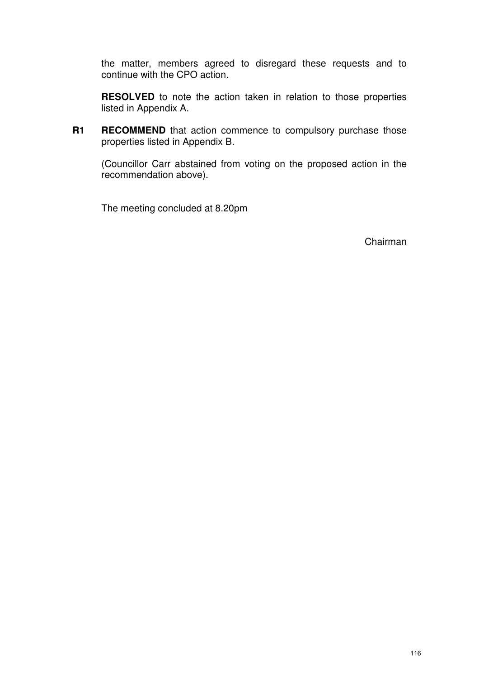the matter, members agreed to disregard these requests and to continue with the CPO action.

**RESOLVED** to note the action taken in relation to those properties listed in Appendix A.

**R1 RECOMMEND** that action commence to compulsory purchase those properties listed in Appendix B.

(Councillor Carr abstained from voting on the proposed action in the recommendation above).

The meeting concluded at 8.20pm

Chairman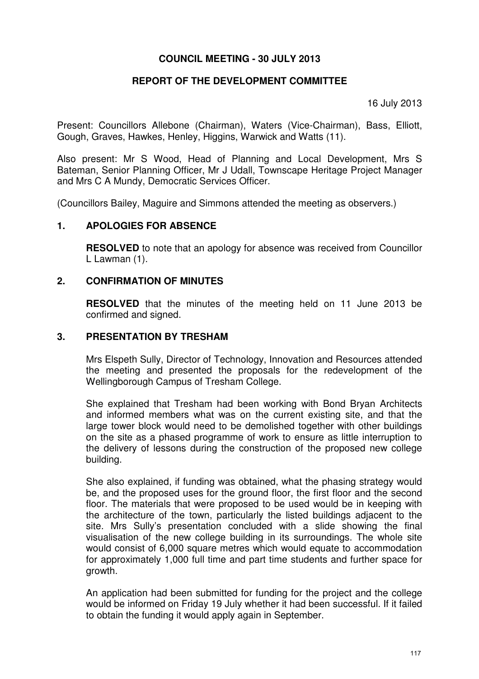### **COUNCIL MEETING - 30 JULY 2013**

## **REPORT OF THE DEVELOPMENT COMMITTEE**

16 July 2013

Present: Councillors Allebone (Chairman), Waters (Vice-Chairman), Bass, Elliott, Gough, Graves, Hawkes, Henley, Higgins, Warwick and Watts (11).

Also present: Mr S Wood, Head of Planning and Local Development, Mrs S Bateman, Senior Planning Officer, Mr J Udall, Townscape Heritage Project Manager and Mrs C A Mundy, Democratic Services Officer.

(Councillors Bailey, Maguire and Simmons attended the meeting as observers.)

### **1. APOLOGIES FOR ABSENCE**

**RESOLVED** to note that an apology for absence was received from Councillor L Lawman (1).

### **2. CONFIRMATION OF MINUTES**

 **RESOLVED** that the minutes of the meeting held on 11 June 2013 be confirmed and signed.

#### **3. PRESENTATION BY TRESHAM**

 Mrs Elspeth Sully, Director of Technology, Innovation and Resources attended the meeting and presented the proposals for the redevelopment of the Wellingborough Campus of Tresham College.

 She explained that Tresham had been working with Bond Bryan Architects and informed members what was on the current existing site, and that the large tower block would need to be demolished together with other buildings on the site as a phased programme of work to ensure as little interruption to the delivery of lessons during the construction of the proposed new college building.

She also explained, if funding was obtained, what the phasing strategy would be, and the proposed uses for the ground floor, the first floor and the second floor. The materials that were proposed to be used would be in keeping with the architecture of the town, particularly the listed buildings adjacent to the site. Mrs Sully's presentation concluded with a slide showing the final visualisation of the new college building in its surroundings. The whole site would consist of 6,000 square metres which would equate to accommodation for approximately 1,000 full time and part time students and further space for growth.

An application had been submitted for funding for the project and the college would be informed on Friday 19 July whether it had been successful. If it failed to obtain the funding it would apply again in September.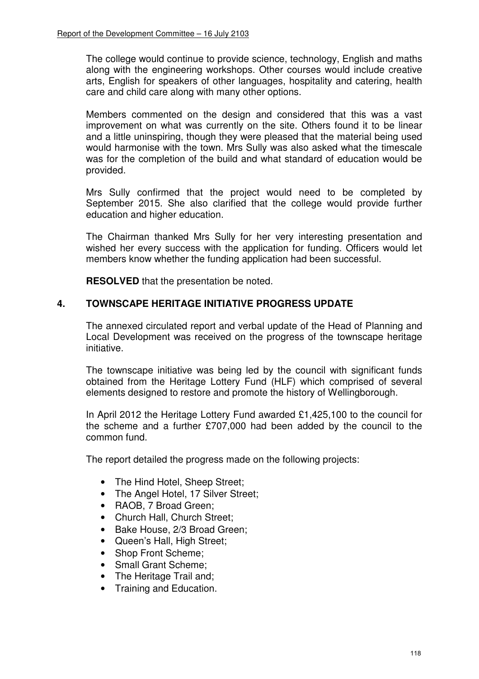The college would continue to provide science, technology, English and maths along with the engineering workshops. Other courses would include creative arts, English for speakers of other languages, hospitality and catering, health care and child care along with many other options.

 Members commented on the design and considered that this was a vast improvement on what was currently on the site. Others found it to be linear and a little uninspiring, though they were pleased that the material being used would harmonise with the town. Mrs Sully was also asked what the timescale was for the completion of the build and what standard of education would be provided.

 Mrs Sully confirmed that the project would need to be completed by September 2015. She also clarified that the college would provide further education and higher education.

 The Chairman thanked Mrs Sully for her very interesting presentation and wished her every success with the application for funding. Officers would let members know whether the funding application had been successful.

**RESOLVED** that the presentation be noted.

## **4. TOWNSCAPE HERITAGE INITIATIVE PROGRESS UPDATE**

The annexed circulated report and verbal update of the Head of Planning and Local Development was received on the progress of the townscape heritage initiative.

The townscape initiative was being led by the council with significant funds obtained from the Heritage Lottery Fund (HLF) which comprised of several elements designed to restore and promote the history of Wellingborough.

In April 2012 the Heritage Lottery Fund awarded £1,425,100 to the council for the scheme and a further £707,000 had been added by the council to the common fund.

The report detailed the progress made on the following projects:

- The Hind Hotel, Sheep Street:
- The Angel Hotel, 17 Silver Street;
- RAOB, 7 Broad Green;
- Church Hall, Church Street:
- Bake House, 2/3 Broad Green;
- Queen's Hall, High Street;
- Shop Front Scheme:
- Small Grant Scheme;
- The Heritage Trail and;
- Training and Education.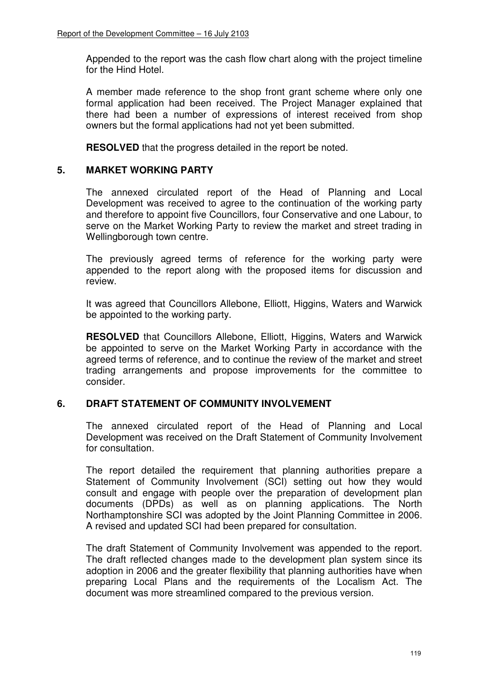Appended to the report was the cash flow chart along with the project timeline for the Hind Hotel.

A member made reference to the shop front grant scheme where only one formal application had been received. The Project Manager explained that there had been a number of expressions of interest received from shop owners but the formal applications had not yet been submitted.

**RESOLVED** that the progress detailed in the report be noted.

### **5. MARKET WORKING PARTY**

The annexed circulated report of the Head of Planning and Local Development was received to agree to the continuation of the working party and therefore to appoint five Councillors, four Conservative and one Labour, to serve on the Market Working Party to review the market and street trading in Wellingborough town centre.

The previously agreed terms of reference for the working party were appended to the report along with the proposed items for discussion and review.

It was agreed that Councillors Allebone, Elliott, Higgins, Waters and Warwick be appointed to the working party.

**RESOLVED** that Councillors Allebone, Elliott, Higgins, Waters and Warwick be appointed to serve on the Market Working Party in accordance with the agreed terms of reference, and to continue the review of the market and street trading arrangements and propose improvements for the committee to consider.

## **6. DRAFT STATEMENT OF COMMUNITY INVOLVEMENT**

The annexed circulated report of the Head of Planning and Local Development was received on the Draft Statement of Community Involvement for consultation.

The report detailed the requirement that planning authorities prepare a Statement of Community Involvement (SCI) setting out how they would consult and engage with people over the preparation of development plan documents (DPDs) as well as on planning applications. The North Northamptonshire SCI was adopted by the Joint Planning Committee in 2006. A revised and updated SCI had been prepared for consultation.

The draft Statement of Community Involvement was appended to the report. The draft reflected changes made to the development plan system since its adoption in 2006 and the greater flexibility that planning authorities have when preparing Local Plans and the requirements of the Localism Act. The document was more streamlined compared to the previous version.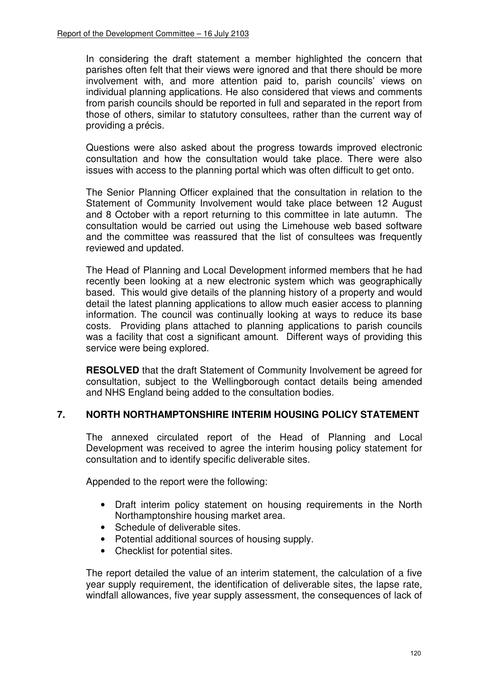In considering the draft statement a member highlighted the concern that parishes often felt that their views were ignored and that there should be more involvement with, and more attention paid to, parish councils' views on individual planning applications. He also considered that views and comments from parish councils should be reported in full and separated in the report from those of others, similar to statutory consultees, rather than the current way of providing a précis.

Questions were also asked about the progress towards improved electronic consultation and how the consultation would take place. There were also issues with access to the planning portal which was often difficult to get onto.

The Senior Planning Officer explained that the consultation in relation to the Statement of Community Involvement would take place between 12 August and 8 October with a report returning to this committee in late autumn. The consultation would be carried out using the Limehouse web based software and the committee was reassured that the list of consultees was frequently reviewed and updated.

The Head of Planning and Local Development informed members that he had recently been looking at a new electronic system which was geographically based. This would give details of the planning history of a property and would detail the latest planning applications to allow much easier access to planning information. The council was continually looking at ways to reduce its base costs. Providing plans attached to planning applications to parish councils was a facility that cost a significant amount. Different ways of providing this service were being explored.

**RESOLVED** that the draft Statement of Community Involvement be agreed for consultation, subject to the Wellingborough contact details being amended and NHS England being added to the consultation bodies.

## **7. NORTH NORTHAMPTONSHIRE INTERIM HOUSING POLICY STATEMENT**

The annexed circulated report of the Head of Planning and Local Development was received to agree the interim housing policy statement for consultation and to identify specific deliverable sites.

Appended to the report were the following:

- Draft interim policy statement on housing requirements in the North Northamptonshire housing market area.
- Schedule of deliverable sites.
- Potential additional sources of housing supply.
- Checklist for potential sites.

The report detailed the value of an interim statement, the calculation of a five year supply requirement, the identification of deliverable sites, the lapse rate, windfall allowances, five year supply assessment, the consequences of lack of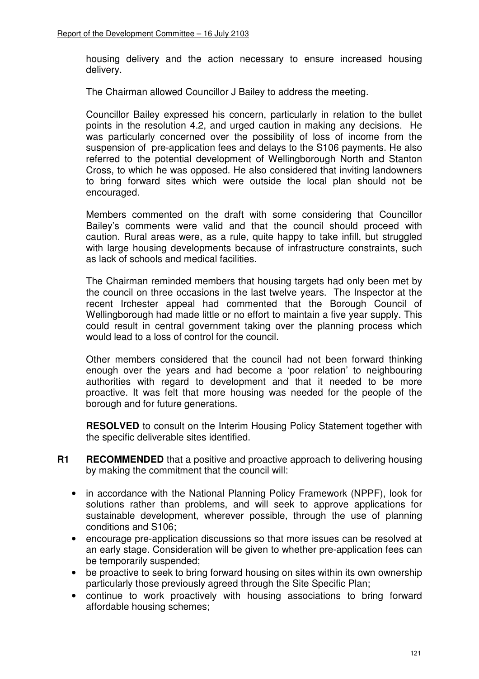housing delivery and the action necessary to ensure increased housing delivery.

The Chairman allowed Councillor J Bailey to address the meeting.

Councillor Bailey expressed his concern, particularly in relation to the bullet points in the resolution 4.2, and urged caution in making any decisions. He was particularly concerned over the possibility of loss of income from the suspension of pre-application fees and delays to the S106 payments. He also referred to the potential development of Wellingborough North and Stanton Cross, to which he was opposed. He also considered that inviting landowners to bring forward sites which were outside the local plan should not be encouraged.

Members commented on the draft with some considering that Councillor Bailey's comments were valid and that the council should proceed with caution. Rural areas were, as a rule, quite happy to take infill, but struggled with large housing developments because of infrastructure constraints, such as lack of schools and medical facilities.

The Chairman reminded members that housing targets had only been met by the council on three occasions in the last twelve years. The Inspector at the recent Irchester appeal had commented that the Borough Council of Wellingborough had made little or no effort to maintain a five year supply. This could result in central government taking over the planning process which would lead to a loss of control for the council.

Other members considered that the council had not been forward thinking enough over the years and had become a 'poor relation' to neighbouring authorities with regard to development and that it needed to be more proactive. It was felt that more housing was needed for the people of the borough and for future generations.

**RESOLVED** to consult on the Interim Housing Policy Statement together with the specific deliverable sites identified.

- **R1 RECOMMENDED** that a positive and proactive approach to delivering housing by making the commitment that the council will:
	- in accordance with the National Planning Policy Framework (NPPF), look for solutions rather than problems, and will seek to approve applications for sustainable development, wherever possible, through the use of planning conditions and S106;
	- encourage pre-application discussions so that more issues can be resolved at an early stage. Consideration will be given to whether pre-application fees can be temporarily suspended;
	- be proactive to seek to bring forward housing on sites within its own ownership particularly those previously agreed through the Site Specific Plan;
	- continue to work proactively with housing associations to bring forward affordable housing schemes;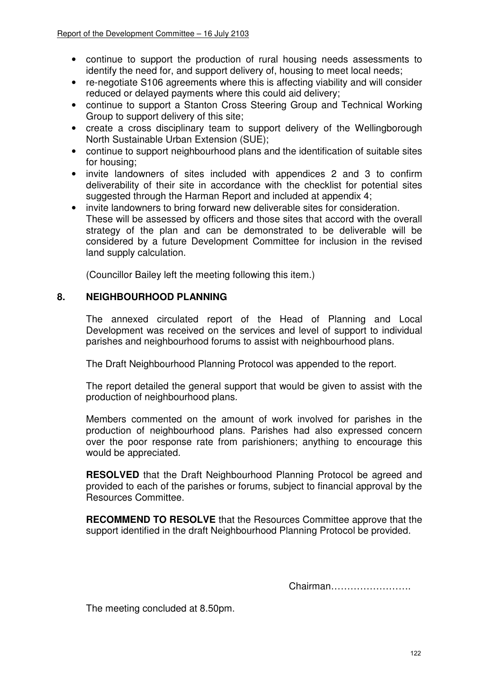- continue to support the production of rural housing needs assessments to identify the need for, and support delivery of, housing to meet local needs;
- re-negotiate S106 agreements where this is affecting viability and will consider reduced or delayed payments where this could aid delivery;
- continue to support a Stanton Cross Steering Group and Technical Working Group to support delivery of this site;
- create a cross disciplinary team to support delivery of the Wellingborough North Sustainable Urban Extension (SUE);
- continue to support neighbourhood plans and the identification of suitable sites for housing;
- invite landowners of sites included with appendices 2 and 3 to confirm deliverability of their site in accordance with the checklist for potential sites suggested through the Harman Report and included at appendix 4;
- invite landowners to bring forward new deliverable sites for consideration. These will be assessed by officers and those sites that accord with the overall strategy of the plan and can be demonstrated to be deliverable will be considered by a future Development Committee for inclusion in the revised land supply calculation.

(Councillor Bailey left the meeting following this item.)

## **8. NEIGHBOURHOOD PLANNING**

The annexed circulated report of the Head of Planning and Local Development was received on the services and level of support to individual parishes and neighbourhood forums to assist with neighbourhood plans.

The Draft Neighbourhood Planning Protocol was appended to the report.

The report detailed the general support that would be given to assist with the production of neighbourhood plans.

Members commented on the amount of work involved for parishes in the production of neighbourhood plans. Parishes had also expressed concern over the poor response rate from parishioners; anything to encourage this would be appreciated.

**RESOLVED** that the Draft Neighbourhood Planning Protocol be agreed and provided to each of the parishes or forums, subject to financial approval by the Resources Committee.

**RECOMMEND TO RESOLVE** that the Resources Committee approve that the support identified in the draft Neighbourhood Planning Protocol be provided.

Chairman…………………….

The meeting concluded at 8.50pm.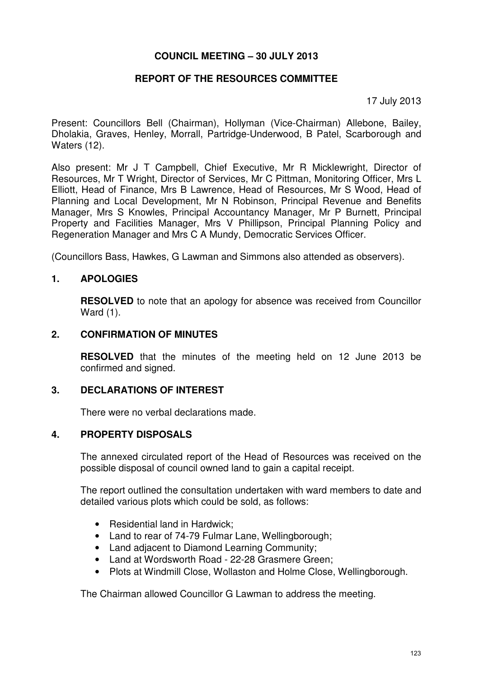### **COUNCIL MEETING – 30 JULY 2013**

### **REPORT OF THE RESOURCES COMMITTEE**

17 July 2013

Present: Councillors Bell (Chairman), Hollyman (Vice-Chairman) Allebone, Bailey, Dholakia, Graves, Henley, Morrall, Partridge-Underwood, B Patel, Scarborough and Waters (12).

Also present: Mr J T Campbell, Chief Executive, Mr R Micklewright, Director of Resources, Mr T Wright, Director of Services, Mr C Pittman, Monitoring Officer, Mrs L Elliott, Head of Finance, Mrs B Lawrence, Head of Resources, Mr S Wood, Head of Planning and Local Development, Mr N Robinson, Principal Revenue and Benefits Manager, Mrs S Knowles, Principal Accountancy Manager, Mr P Burnett, Principal Property and Facilities Manager, Mrs V Phillipson, Principal Planning Policy and Regeneration Manager and Mrs C A Mundy, Democratic Services Officer.

(Councillors Bass, Hawkes, G Lawman and Simmons also attended as observers).

### **1. APOLOGIES**

**RESOLVED** to note that an apology for absence was received from Councillor Ward (1).

#### **2. CONFIRMATION OF MINUTES**

**RESOLVED** that the minutes of the meeting held on 12 June 2013 be confirmed and signed.

### **3. DECLARATIONS OF INTEREST**

There were no verbal declarations made.

### **4. PROPERTY DISPOSALS**

The annexed circulated report of the Head of Resources was received on the possible disposal of council owned land to gain a capital receipt.

 The report outlined the consultation undertaken with ward members to date and detailed various plots which could be sold, as follows:

- Residential land in Hardwick;
- Land to rear of 74-79 Fulmar Lane, Wellingborough:
- Land adjacent to Diamond Learning Community;
- Land at Wordsworth Road 22-28 Grasmere Green:
- Plots at Windmill Close, Wollaston and Holme Close, Wellingborough.

The Chairman allowed Councillor G Lawman to address the meeting.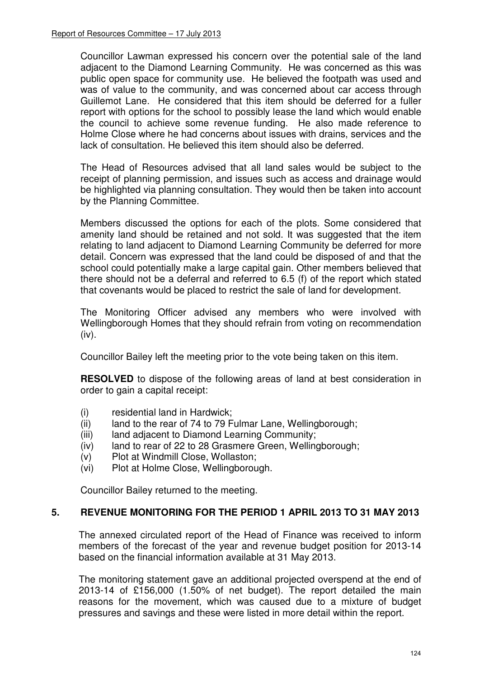Councillor Lawman expressed his concern over the potential sale of the land adjacent to the Diamond Learning Community. He was concerned as this was public open space for community use. He believed the footpath was used and was of value to the community, and was concerned about car access through Guillemot Lane. He considered that this item should be deferred for a fuller report with options for the school to possibly lease the land which would enable the council to achieve some revenue funding. He also made reference to Holme Close where he had concerns about issues with drains, services and the lack of consultation. He believed this item should also be deferred.

The Head of Resources advised that all land sales would be subject to the receipt of planning permission, and issues such as access and drainage would be highlighted via planning consultation. They would then be taken into account by the Planning Committee.

Members discussed the options for each of the plots. Some considered that amenity land should be retained and not sold. It was suggested that the item relating to land adjacent to Diamond Learning Community be deferred for more detail. Concern was expressed that the land could be disposed of and that the school could potentially make a large capital gain. Other members believed that there should not be a deferral and referred to 6.5 (f) of the report which stated that covenants would be placed to restrict the sale of land for development.

The Monitoring Officer advised any members who were involved with Wellingborough Homes that they should refrain from voting on recommendation  $(iv)$ .

Councillor Bailey left the meeting prior to the vote being taken on this item.

**RESOLVED** to dispose of the following areas of land at best consideration in order to gain a capital receipt:

- (i) residential land in Hardwick;
- (ii) land to the rear of 74 to 79 Fulmar Lane, Wellingborough;
- (iii) land adjacent to Diamond Learning Community;
- (iv) land to rear of 22 to 28 Grasmere Green, Wellingborough;
- (v) Plot at Windmill Close, Wollaston;
- (vi) Plot at Holme Close, Wellingborough.

Councillor Bailey returned to the meeting.

### **5. REVENUE MONITORING FOR THE PERIOD 1 APRIL 2013 TO 31 MAY 2013**

The annexed circulated report of the Head of Finance was received to inform members of the forecast of the year and revenue budget position for 2013-14 based on the financial information available at 31 May 2013.

The monitoring statement gave an additional projected overspend at the end of 2013-14 of £156,000 (1.50% of net budget). The report detailed the main reasons for the movement, which was caused due to a mixture of budget pressures and savings and these were listed in more detail within the report.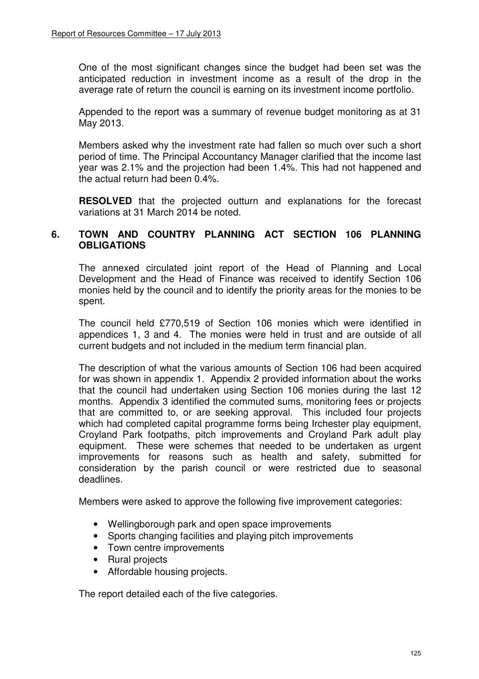One of the most significant changes since the budget had been set was the anticipated reduction in investment income as a result of the drop in the average rate of return the council is earning on its investment income portfolio.

Appended to the report was a summary of revenue budget monitoring as at 31 May 2013.

Members asked why the investment rate had fallen so much over such a short period of time. The Principal Accountancy Manager clarified that the income last year was 2.1% and the projection had been 1.4%. This had not happened and the actual return had been 0.4%.

**RESOLVED** that the projected outturn and explanations for the forecast variations at 31 March 2014 be noted.

### **6. TOWN AND COUNTRY PLANNING ACT SECTION 106 PLANNING OBLIGATIONS**

The annexed circulated joint report of the Head of Planning and Local Development and the Head of Finance was received to identify Section 106 monies held by the council and to identify the priority areas for the monies to be spent.

The council held £770,519 of Section 106 monies which were identified in appendices 1, 3 and 4. The monies were held in trust and are outside of all current budgets and not included in the medium term financial plan.

The description of what the various amounts of Section 106 had been acquired for was shown in appendix 1. Appendix 2 provided information about the works that the council had undertaken using Section 106 monies during the last 12 months. Appendix 3 identified the commuted sums, monitoring fees or projects that are committed to, or are seeking approval. This included four projects which had completed capital programme forms being Irchester play equipment, Croyland Park footpaths, pitch improvements and Croyland Park adult play equipment. These were schemes that needed to be undertaken as urgent improvements for reasons such as health and safety, submitted for consideration by the parish council or were restricted due to seasonal deadlines.

Members were asked to approve the following five improvement categories:

- Wellingborough park and open space improvements
- Sports changing facilities and playing pitch improvements
- Town centre improvements
- Rural projects
- Affordable housing projects.

The report detailed each of the five categories.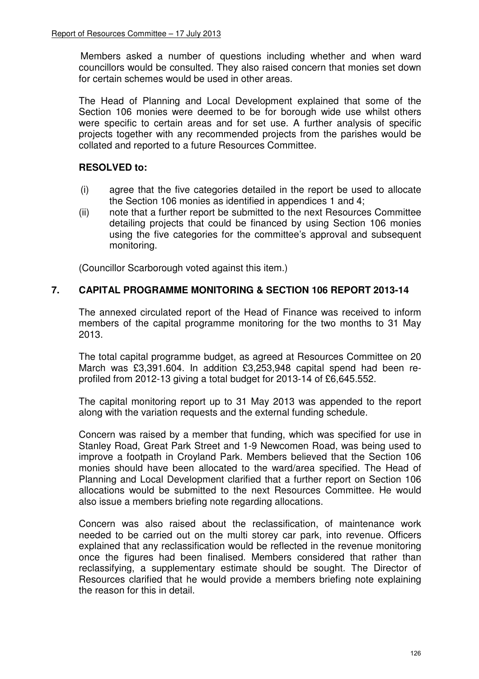Members asked a number of questions including whether and when ward councillors would be consulted. They also raised concern that monies set down for certain schemes would be used in other areas.

 The Head of Planning and Local Development explained that some of the Section 106 monies were deemed to be for borough wide use whilst others were specific to certain areas and for set use. A further analysis of specific projects together with any recommended projects from the parishes would be collated and reported to a future Resources Committee.

# **RESOLVED to:**

- (i) agree that the five categories detailed in the report be used to allocate the Section 106 monies as identified in appendices 1 and 4;
- (ii) note that a further report be submitted to the next Resources Committee detailing projects that could be financed by using Section 106 monies using the five categories for the committee's approval and subsequent monitoring.

(Councillor Scarborough voted against this item.)

# **7. CAPITAL PROGRAMME MONITORING & SECTION 106 REPORT 2013-14**

The annexed circulated report of the Head of Finance was received to inform members of the capital programme monitoring for the two months to 31 May 2013.

The total capital programme budget, as agreed at Resources Committee on 20 March was £3,391.604. In addition £3,253,948 capital spend had been reprofiled from 2012-13 giving a total budget for 2013-14 of £6,645.552.

The capital monitoring report up to 31 May 2013 was appended to the report along with the variation requests and the external funding schedule.

Concern was raised by a member that funding, which was specified for use in Stanley Road, Great Park Street and 1-9 Newcomen Road, was being used to improve a footpath in Croyland Park. Members believed that the Section 106 monies should have been allocated to the ward/area specified. The Head of Planning and Local Development clarified that a further report on Section 106 allocations would be submitted to the next Resources Committee. He would also issue a members briefing note regarding allocations.

Concern was also raised about the reclassification, of maintenance work needed to be carried out on the multi storey car park, into revenue. Officers explained that any reclassification would be reflected in the revenue monitoring once the figures had been finalised. Members considered that rather than reclassifying, a supplementary estimate should be sought. The Director of Resources clarified that he would provide a members briefing note explaining the reason for this in detail.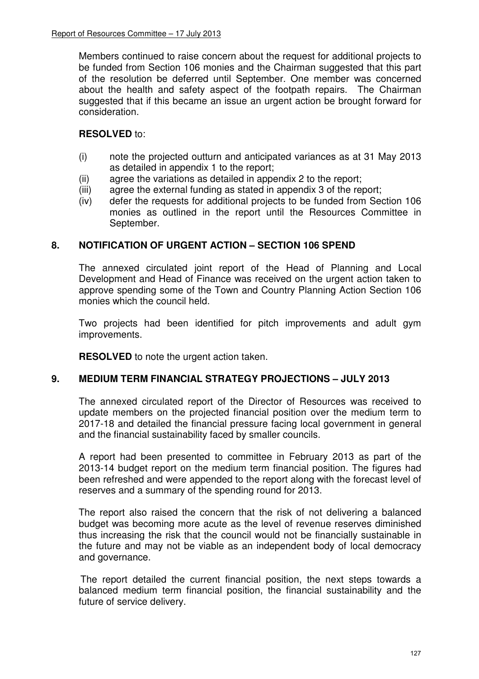Members continued to raise concern about the request for additional projects to be funded from Section 106 monies and the Chairman suggested that this part of the resolution be deferred until September. One member was concerned about the health and safety aspect of the footpath repairs. The Chairman suggested that if this became an issue an urgent action be brought forward for consideration.

## **RESOLVED** to:

- (i) note the projected outturn and anticipated variances as at 31 May 2013 as detailed in appendix 1 to the report;
- (ii) agree the variations as detailed in appendix 2 to the report;
- (iii) agree the external funding as stated in appendix 3 of the report;
- (iv) defer the requests for additional projects to be funded from Section 106 monies as outlined in the report until the Resources Committee in September.

## **8. NOTIFICATION OF URGENT ACTION – SECTION 106 SPEND**

 The annexed circulated joint report of the Head of Planning and Local Development and Head of Finance was received on the urgent action taken to approve spending some of the Town and Country Planning Action Section 106 monies which the council held.

Two projects had been identified for pitch improvements and adult gym improvements.

**RESOLVED** to note the urgent action taken.

## **9. MEDIUM TERM FINANCIAL STRATEGY PROJECTIONS – JULY 2013**

 The annexed circulated report of the Director of Resources was received to update members on the projected financial position over the medium term to 2017-18 and detailed the financial pressure facing local government in general and the financial sustainability faced by smaller councils.

 A report had been presented to committee in February 2013 as part of the 2013-14 budget report on the medium term financial position. The figures had been refreshed and were appended to the report along with the forecast level of reserves and a summary of the spending round for 2013.

 The report also raised the concern that the risk of not delivering a balanced budget was becoming more acute as the level of revenue reserves diminished thus increasing the risk that the council would not be financially sustainable in the future and may not be viable as an independent body of local democracy and governance.

The report detailed the current financial position, the next steps towards a balanced medium term financial position, the financial sustainability and the future of service delivery.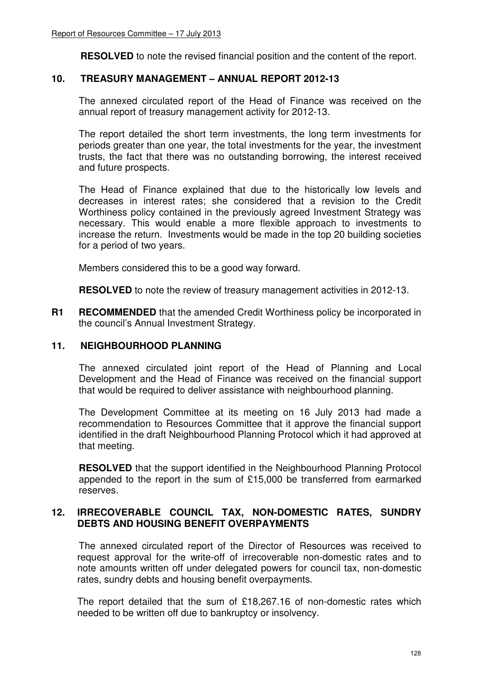**RESOLVED** to note the revised financial position and the content of the report.

## **10. TREASURY MANAGEMENT – ANNUAL REPORT 2012-13**

 The annexed circulated report of the Head of Finance was received on the annual report of treasury management activity for 2012-13.

 The report detailed the short term investments, the long term investments for periods greater than one year, the total investments for the year, the investment trusts, the fact that there was no outstanding borrowing, the interest received and future prospects.

 The Head of Finance explained that due to the historically low levels and decreases in interest rates; she considered that a revision to the Credit Worthiness policy contained in the previously agreed Investment Strategy was necessary. This would enable a more flexible approach to investments to increase the return. Investments would be made in the top 20 building societies for a period of two years.

Members considered this to be a good way forward.

**RESOLVED** to note the review of treasury management activities in 2012-13.

**R1 RECOMMENDED** that the amended Credit Worthiness policy be incorporated in the council's Annual Investment Strategy.

### **11. NEIGHBOURHOOD PLANNING**

 The annexed circulated joint report of the Head of Planning and Local Development and the Head of Finance was received on the financial support that would be required to deliver assistance with neighbourhood planning.

The Development Committee at its meeting on 16 July 2013 had made a recommendation to Resources Committee that it approve the financial support identified in the draft Neighbourhood Planning Protocol which it had approved at that meeting.

**RESOLVED** that the support identified in the Neighbourhood Planning Protocol appended to the report in the sum of £15,000 be transferred from earmarked reserves.

### **12. IRRECOVERABLE COUNCIL TAX, NON-DOMESTIC RATES, SUNDRY DEBTS AND HOUSING BENEFIT OVERPAYMENTS**

 The annexed circulated report of the Director of Resources was received to request approval for the write-off of irrecoverable non-domestic rates and to note amounts written off under delegated powers for council tax, non-domestic rates, sundry debts and housing benefit overpayments.

 The report detailed that the sum of £18,267.16 of non-domestic rates which needed to be written off due to bankruptcy or insolvency.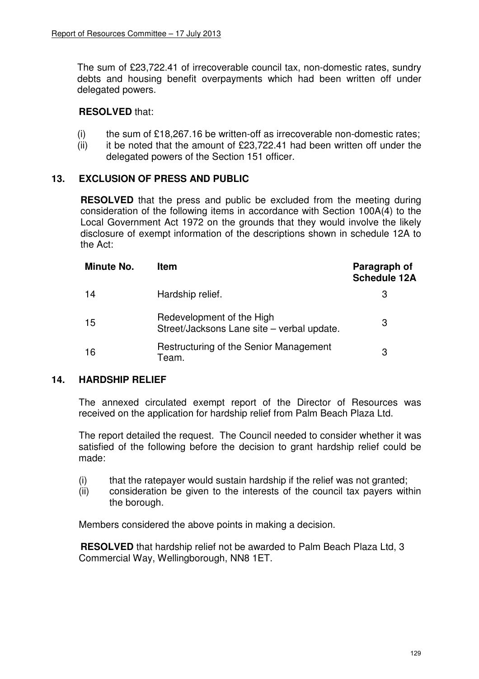The sum of £23,722.41 of irrecoverable council tax, non-domestic rates, sundry debts and housing benefit overpayments which had been written off under delegated powers.

### **RESOLVED** that:

- (i) the sum of  $£18,267.16$  be written-off as irrecoverable non-domestic rates;
- (ii) it be noted that the amount of  $£23,722.41$  had been written off under the delegated powers of the Section 151 officer.

## **13. EXCLUSION OF PRESS AND PUBLIC**

**RESOLVED** that the press and public be excluded from the meeting during consideration of the following items in accordance with Section 100A(4) to the Local Government Act 1972 on the grounds that they would involve the likely disclosure of exempt information of the descriptions shown in schedule 12A to the Act:

| Minute No. | <b>Item</b>                                                             | Paragraph of<br><b>Schedule 12A</b> |
|------------|-------------------------------------------------------------------------|-------------------------------------|
| 14         | Hardship relief.                                                        |                                     |
| 15         | Redevelopment of the High<br>Street/Jacksons Lane site - verbal update. | 3                                   |
| 16         | Restructuring of the Senior Management<br>Team.                         | 3                                   |

### **14. HARDSHIP RELIEF**

 The annexed circulated exempt report of the Director of Resources was received on the application for hardship relief from Palm Beach Plaza Ltd.

 The report detailed the request. The Council needed to consider whether it was satisfied of the following before the decision to grant hardship relief could be made:

- (i) that the ratepayer would sustain hardship if the relief was not granted;
- (ii) consideration be given to the interests of the council tax payers within the borough.

Members considered the above points in making a decision.

 **RESOLVED** that hardship relief not be awarded to Palm Beach Plaza Ltd, 3 Commercial Way, Wellingborough, NN8 1ET.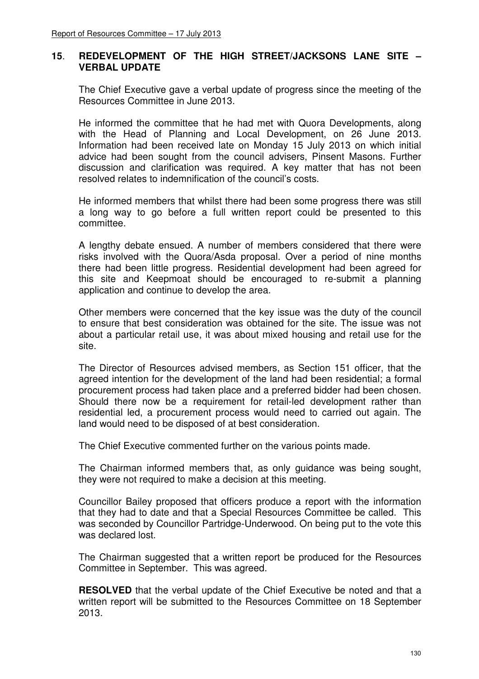### **15**. **REDEVELOPMENT OF THE HIGH STREET/JACKSONS LANE SITE – VERBAL UPDATE**

The Chief Executive gave a verbal update of progress since the meeting of the Resources Committee in June 2013.

 He informed the committee that he had met with Quora Developments, along with the Head of Planning and Local Development, on 26 June 2013. Information had been received late on Monday 15 July 2013 on which initial advice had been sought from the council advisers, Pinsent Masons. Further discussion and clarification was required. A key matter that has not been resolved relates to indemnification of the council's costs.

 He informed members that whilst there had been some progress there was still a long way to go before a full written report could be presented to this committee.

 A lengthy debate ensued. A number of members considered that there were risks involved with the Quora/Asda proposal. Over a period of nine months there had been little progress. Residential development had been agreed for this site and Keepmoat should be encouraged to re-submit a planning application and continue to develop the area.

 Other members were concerned that the key issue was the duty of the council to ensure that best consideration was obtained for the site. The issue was not about a particular retail use, it was about mixed housing and retail use for the site.

 The Director of Resources advised members, as Section 151 officer, that the agreed intention for the development of the land had been residential; a formal procurement process had taken place and a preferred bidder had been chosen. Should there now be a requirement for retail-led development rather than residential led, a procurement process would need to carried out again. The land would need to be disposed of at best consideration.

The Chief Executive commented further on the various points made.

 The Chairman informed members that, as only guidance was being sought, they were not required to make a decision at this meeting.

 Councillor Bailey proposed that officers produce a report with the information that they had to date and that a Special Resources Committee be called. This was seconded by Councillor Partridge-Underwood. On being put to the vote this was declared lost.

 The Chairman suggested that a written report be produced for the Resources Committee in September. This was agreed.

**RESOLVED** that the verbal update of the Chief Executive be noted and that a written report will be submitted to the Resources Committee on 18 September 2013.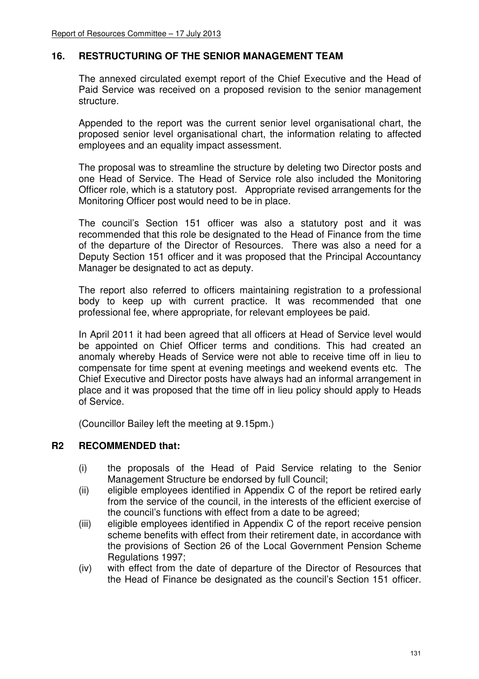### **16. RESTRUCTURING OF THE SENIOR MANAGEMENT TEAM**

 The annexed circulated exempt report of the Chief Executive and the Head of Paid Service was received on a proposed revision to the senior management structure.

 Appended to the report was the current senior level organisational chart, the proposed senior level organisational chart, the information relating to affected employees and an equality impact assessment.

 The proposal was to streamline the structure by deleting two Director posts and one Head of Service. The Head of Service role also included the Monitoring Officer role, which is a statutory post. Appropriate revised arrangements for the Monitoring Officer post would need to be in place.

 The council's Section 151 officer was also a statutory post and it was recommended that this role be designated to the Head of Finance from the time of the departure of the Director of Resources. There was also a need for a Deputy Section 151 officer and it was proposed that the Principal Accountancy Manager be designated to act as deputy.

 The report also referred to officers maintaining registration to a professional body to keep up with current practice. It was recommended that one professional fee, where appropriate, for relevant employees be paid.

 In April 2011 it had been agreed that all officers at Head of Service level would be appointed on Chief Officer terms and conditions. This had created an anomaly whereby Heads of Service were not able to receive time off in lieu to compensate for time spent at evening meetings and weekend events etc. The Chief Executive and Director posts have always had an informal arrangement in place and it was proposed that the time off in lieu policy should apply to Heads of Service.

(Councillor Bailey left the meeting at 9.15pm.)

### **R2 RECOMMENDED that:**

- (i) the proposals of the Head of Paid Service relating to the Senior Management Structure be endorsed by full Council;
- (ii) eligible employees identified in Appendix C of the report be retired early from the service of the council, in the interests of the efficient exercise of the council's functions with effect from a date to be agreed;
- (iii) eligible employees identified in Appendix C of the report receive pension scheme benefits with effect from their retirement date, in accordance with the provisions of Section 26 of the Local Government Pension Scheme Regulations 1997;
- (iv) with effect from the date of departure of the Director of Resources that the Head of Finance be designated as the council's Section 151 officer.